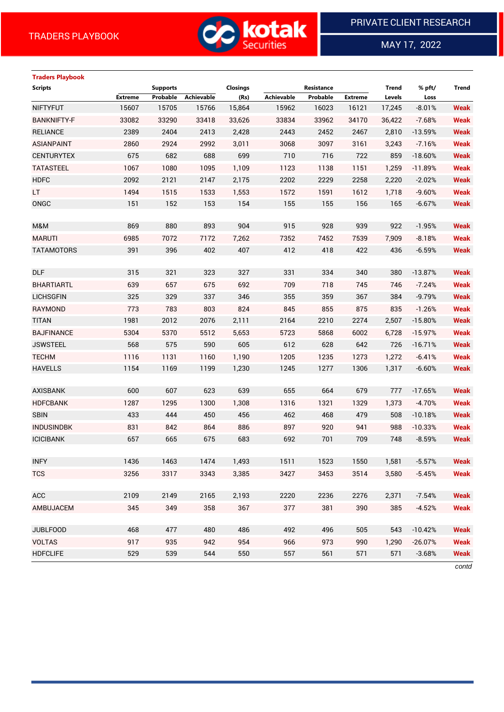

 $\overline{a}$ 

MAY 17, 2022

# **Traders Playbook Scripts Supports Closings Resistance Trend % pft/ Trend Extreme Probable Achievable (Rs) Achievable Probable Extreme Levels Loss** NIFTYFUT 15607 15705 15766 15,864 15962 16023 16121 17,245 -8.01% **Weak** BANKNIFTY-F 33082 33290 33418 33,626 33834 33962 34170 36,422 -7.68% **Weak** RELIANCE 2389 2404 2413 2,428 2443 2452 2467 2,810 -13.59% **Weak** ASIANPAINT 2860 2924 2992 3,011 3068 3097 3161 3,243 -7.16% **Weak** CENTURYTEX 675 682 688 699 710 716 722 859 -18.60% **Weak** TATASTEEL 1067 1080 1095 1,109 1123 1138 1151 1,259 -11.89% **Weak** HDFC 2092 2121 2147 2,175 2202 2229 2258 2,220 -2.02% **Weak** LT 1494 1515 1533 1,553 1572 1591 1612 1,718 -9.60% **Weak** ONGC 151 152 153 154 155 155 156 165 -6.67% **Weak** M&M 869 880 893 904 915 928 939 922 -1.95% **Weak** MARUTI 6985 7072 7172 7,262 7352 7452 7539 7,909 -8.18% **Weak** TATAMOTORS 391 396 402 407 412 418 422 436 -6.59% **Weak** DLF 315 321 323 327 331 334 340 380 -13.87% **Weak** BHARTIARTL 639 657 675 692 709 718 745 746 -7.24% **Weak** LICHSGFIN 325 329 337 346 355 359 367 384 -9.79% **Weak** RAYMOND 773 783 803 824 845 855 875 835 -1.26% **Weak** TITAN 1981 2012 2076 2,111 2164 2210 2274 2,507 -15.80% **Weak** BAJFINANCE 5304 5370 5512 5,653 5723 5868 6002 6,728 -15.97% **Weak** JSWSTEEL 568 575 590 605 612 628 642 726 -16.71% **Weak** TECHM 1116 1131 1160 1,190 1205 1235 1273 1,272 -6.41% **Weak** HAVELLS 1154 1169 1199 1,230 1245 1277 1306 1,317 -6.60% **Weak** AXISBANK 600 607 623 639 655 664 679 777 -17.65% **Weak** HDFCBANK 1287 1295 1300 1,308 1316 1321 1329 1,373 -4.70% **Weak** SBIN 433 444 450 456 462 468 479 508 -10.18% **Weak** INDUSINDBK 831 842 864 886 897 920 941 988 -10.33% **Weak** ICICIBANK 657 665 675 683 692 701 709 748 -8.59% **Weak** INFY 1436 1463 1474 1,493 1511 1523 1550 1,581 -5.57% **Weak** TCS 3256 3317 3343 3,385 3427 3453 3514 3,580 -5.45% **Weak** ACC 2109 2149 2165 2,193 2220 2236 2276 2,371 -7.54% **Weak** AMBUJACEM 345 349 358 367 377 381 390 385 -4.52% **Weak** JUBLFOOD 468 477 480 486 492 496 505 543 -10.42% **Weak** VOLTAS 917 935 942 954 966 973 990 1,290 -26.07% **Weak** HDFCLIFE 529 539 544 550 557 561 571 571 -3.68% **Weak**

*contd*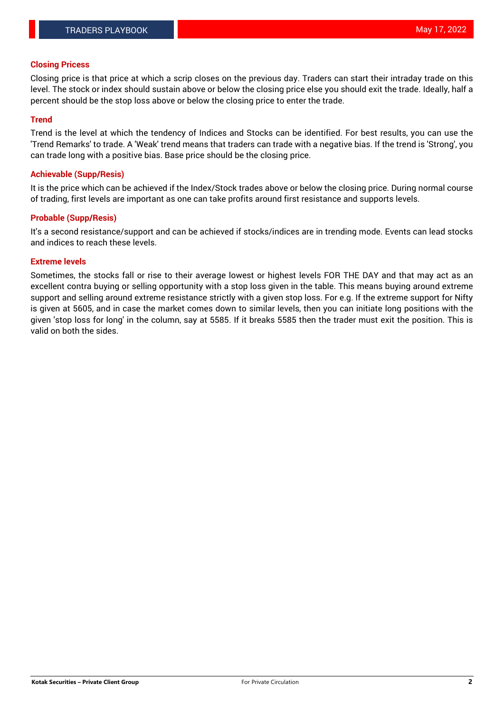# **Closing Pricess**

Closing price is that price at which a scrip closes on the previous day. Traders can start their intraday trade on this level. The stock or index should sustain above or below the closing price else you should exit the trade. Ideally, half a percent should be the stop loss above or below the closing price to enter the trade.

## **Trend**

Trend is the level at which the tendency of Indices and Stocks can be identified. For best results, you can use the 'Trend Remarks' to trade. A 'Weak' trend means that traders can trade with a negative bias. If the trend is 'Strong', you can trade long with a positive bias. Base price should be the closing price.

## **Achievable (Supp/Resis)**

It is the price which can be achieved if the Index/Stock trades above or below the closing price. During normal course of trading, first levels are important as one can take profits around first resistance and supports levels.

# **Probable (Supp/Resis)**

It's a second resistance/support and can be achieved if stocks/indices are in trending mode. Events can lead stocks and indices to reach these levels.

#### **Extreme levels**

Sometimes, the stocks fall or rise to their average lowest or highest levels FOR THE DAY and that may act as an excellent contra buying or selling opportunity with a stop loss given in the table. This means buying around extreme support and selling around extreme resistance strictly with a given stop loss. For e.g. If the extreme support for Nifty is given at 5605, and in case the market comes down to similar levels, then you can initiate long positions with the given 'stop loss for long' in the column, say at 5585. If it breaks 5585 then the trader must exit the position. This is valid on both the sides.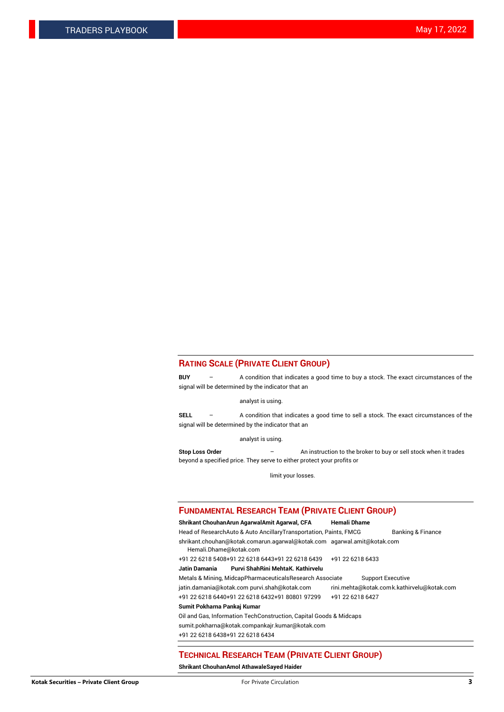# **RATING SCALE (PRIVATE CLIENT GROUP)**

**BUY** – A condition that indicates a good time to buy a stock. The exact circumstances of the signal will be determined by the indicator that an

analyst is using.

**SELL** – A condition that indicates a good time to sell a stock. The exact circumstances of the signal will be determined by the indicator that an

analyst is using.

**Stop Loss Order** – An instruction to the broker to buy or sell stock when it trades beyond a specified price. They serve to either protect your profits or

limit your losses.

#### **FUNDAMENTAL RESEARCH TEAM (PRIVATE CLIENT GROUP)**

#### **Shrikant ChouhanArun AgarwalAmit Agarwal, CFA Hemali Dhame** Head of ResearchAuto & Auto AncillaryTransportation, Paints, FMCG Banking & Finance shrikant.chouhan@kotak.comarun.agarwal@kotak.com agarwal.amit@kotak.com Hemali.Dhame@kotak.com +91 22 6218 5408+91 22 6218 6443+91 22 6218 6439 +91 22 6218 6433 **Jatin Damania Purvi ShahRini MehtaK. Kathirvelu** Metals & Mining, MidcapPharmaceuticalsResearch Associate Support Executive jatin.damania@kotak.com [purvi.shah@kotak.com](mailto:purvi.shah@kotak.com) rini.mehta@kotak.co[mk.kathirvelu@kotak.com](mailto:k.kathirvelu@kotak.com) +91 22 6218 6440+91 22 6218 6432+91 80801 97299 +91 22 6218 6427 **Sumit Pokharna Pankaj Kumar**

Oil and Gas, Information TechConstruction, Capital Goods & Midcaps

sumit.pokharna@kotak.compankajr.kumar@kotak.com

+91 22 6218 6438+91 22 6218 6434

#### **TECHNICAL RESEARCH TEAM (PRIVATE CLIENT GROUP)**

**Shrikant ChouhanAmol AthawaleSayed Haider**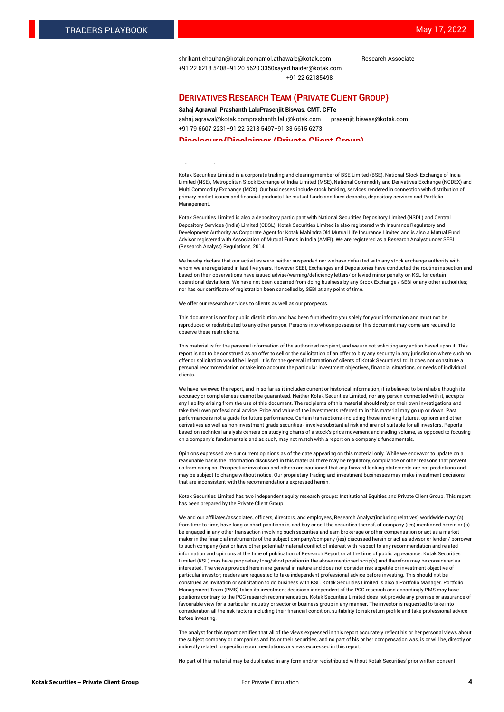[shrikant.chouhan@kotak.com](mailto:shrikant.chouhan@kotak.com)[amol.athawale@kotak.com](mailto:amol.athawale@kotak.com) Research Associate +91 22 6218 5408+91 20 6620 335[0sayed.haider@kotak.com](mailto:sayed.haider@kotak.com) +91 22 62185498

#### **DERIVATIVES RESEARCH TEAM (PRIVATE CLIENT GROUP)**

#### **Sahaj Agrawal Prashanth LaluPrasenjit Biswas, CMT, CFTe**

[sahaj.agrawal@kotak.com](mailto:sahaj.agrawal@kotak.com)[prashanth.lalu@kotak.com](mailto:prashanth.lalu@kotak.com) [prasenjit.biswas@kotak.com](mailto:prasenjit.biswas@kotak.com) +91 79 6607 2231+91 22 6218 5497+91 33 6615 6273

#### **Disclosure/Disclaimer (Private Client Group)**

largest brokerage and distribution house.

Kotak Securities Limited is a corporate trading and clearing member of BSE Limited (BSE), National Stock Exchange of India Limited (NSE), Metropolitan Stock Exchange of India Limited (MSE), National Commodity and Derivatives Exchange (NCDEX) and Multi Commodity Exchange (MCX). Our businesses include stock broking, services rendered in connection with distribution of primary market issues and financial products like mutual funds and fixed deposits, depository services and Portfolio Management.

Kotak Securities Limited is also a depository participant with National Securities Depository Limited (NSDL) and Central Depository Services (India) Limited (CDSL). Kotak Securities Limited is also registered with Insurance Regulatory and Development Authority as Corporate Agent for Kotak Mahindra Old Mutual Life Insurance Limited and is also a Mutual Fund Advisor registered with Association of Mutual Funds in India (AMFI). We are registered as a Research Analyst under SEBI (Research Analyst) Regulations, 2014.

We hereby declare that our activities were neither suspended nor we have defaulted with any stock exchange authority with whom we are registered in last five years. However SEBI, Exchanges and Depositories have conducted the routine inspection and based on their observations have issued advise/warning/deficiency letters/ or levied minor penalty on KSL for certain operational deviations. We have not been debarred from doing business by any Stock Exchange / SEBI or any other authorities; nor has our certificate of registration been cancelled by SEBI at any point of time.

We offer our research services to clients as well as our prospects.

This document is not for public distribution and has been furnished to you solely for your information and must not be reproduced or redistributed to any other person. Persons into whose possession this document may come are required to observe these restrictions.

This material is for the personal information of the authorized recipient, and we are not soliciting any action based upon it. This report is not to be construed as an offer to sell or the solicitation of an offer to buy any security in any jurisdiction where such an offer or solicitation would be illegal. It is for the general information of clients of Kotak Securities Ltd. It does not constitute a personal recommendation or take into account the particular investment objectives, financial situations, or needs of individual clients.

We have reviewed the report, and in so far as it includes current or historical information, it is believed to be reliable though its accuracy or completeness cannot be guaranteed. Neither Kotak Securities Limited, nor any person connected with it, accepts any liability arising from the use of this document. The recipients of this material should rely on their own investigations and take their own professional advice. Price and value of the investments referred to in this material may go up or down. Past performance is not a guide for future performance. Certain transactions -including those involving futures, options and other derivatives as well as non-investment grade securities - involve substantial risk and are not suitable for all investors. Reports based on technical analysis centers on studying charts of a stock's price movement and trading volume, as opposed to focusing on a company's fundamentals and as such, may not match with a report on a company's fundamentals.

Opinions expressed are our current opinions as of the date appearing on this material only. While we endeavor to update on a reasonable basis the information discussed in this material, there may be regulatory, compliance or other reasons that prevent us from doing so. Prospective investors and others are cautioned that any forward-looking statements are not predictions and may be subject to change without notice. Our proprietary trading and investment businesses may make investment decisions that are inconsistent with the recommendations expressed herein.

Kotak Securities Limited has two independent equity research groups: Institutional Equities and Private Client Group. This report has been prepared by the Private Client Group.

We and our affiliates/associates, officers, directors, and employees, Research Analyst(including relatives) worldwide may: (a) from time to time, have long or short positions in, and buy or sell the securities thereof, of company (ies) mentioned herein or (b) be engaged in any other transaction involving such securities and earn brokerage or other compensation or act as a market maker in the financial instruments of the subject company/company (ies) discussed herein or act as advisor or lender / borrower to such company (ies) or have other potential/material conflict of interest with respect to any recommendation and related information and opinions at the time of publication of Research Report or at the time of public appearance. Kotak Securities Limited (KSL) may have proprietary long/short position in the above mentioned scrip(s) and therefore may be considered as interested. The views provided herein are general in nature and does not consider risk appetite or investment objective of particular investor; readers are requested to take independent professional advice before investing. This should not be construed as invitation or solicitation to do business with KSL. Kotak Securities Limited is also a Portfolio Manager. Portfolio Management Team (PMS) takes its investment decisions independent of the PCG research and accordingly PMS may have positions contrary to the PCG research recommendation. Kotak Securities Limited does not provide any promise or assurance of favourable view for a particular industry or sector or business group in any manner. The investor is requested to take into consideration all the risk factors including their financial condition, suitability to risk return profile and take professional advice before investing.

The analyst for this report certifies that all of the views expressed in this report accurately reflect his or her personal views about the subject company or companies and its or their securities, and no part of his or her compensation was, is or will be, directly or indirectly related to specific recommendations or views expressed in this report.

No part of this material may be duplicated in any form and/or redistributed without Kotak Securities' prior written consent.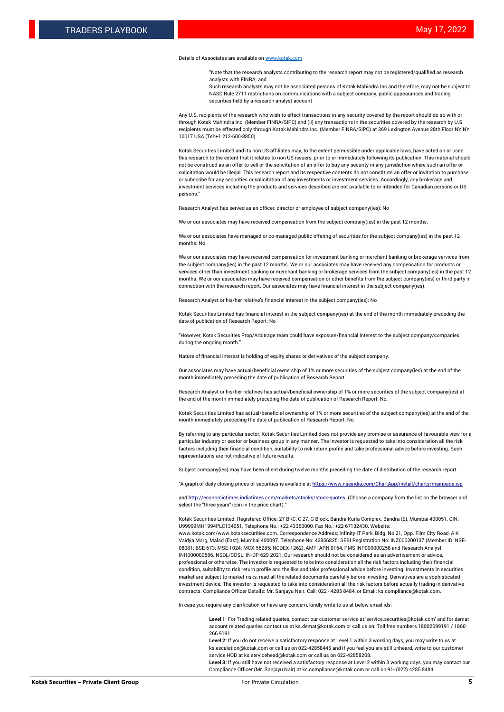#### Details of Associates are available o[n www.kotak.com](http://www.kotak.com/)

"Note that the research analysts contributing to the research report may not be registered/qualified as research analysts with FINRA; and

Such research analysts may not be associated persons of Kotak Mahindra Inc and therefore, may not be subject to NASD Rule 2711 restrictions on communications with a subject company, public appearances and trading securities held by a research analyst account

Any U.S. recipients of the research who wish to effect transactions in any security covered by the report should do so with or through Kotak Mahindra Inc. (Member FINRA/SIPC) and (ii) any transactions in the securities covered by the research by U.S. recipients must be effected only through Kotak Mahindra Inc. (Member FINRA/SIPC) at 369 Lexington Avenue 28th Floor NY NY 10017 USA (Tel:+1 212-600-8850).

Kotak Securities Limited and its non US affiliates may, to the extent permissible under applicable laws, have acted on or used this research to the extent that it relates to non US issuers, prior to or immediately following its publication. This material should not be construed as an offer to sell or the solicitation of an offer to buy any security in any jurisdiction where such an offer or solicitation would be illegal. This research report and its respective contents do not constitute an offer or invitation to purchase or subscribe for any securities or solicitation of any investments or investment services. Accordingly, any brokerage and investment services including the products and services described are not available to or intended for Canadian persons or US persons."

Research Analyst has served as an officer, director or employee of subject company(ies): No

We or our associates may have received compensation from the subject company(ies) in the past 12 months.

We or our associates have managed or co-managed public offering of securities for the subject company(ies) in the past 12 months: No

We or our associates may have received compensation for investment banking or merchant banking or brokerage services from the subject company(ies) in the past 12 months. We or our associates may have received any compensation for products or services other than investment banking or merchant banking or brokerage services from the subject company(ies) in the past 12 months. We or our associates may have received compensation or other benefits from the subject company(ies) or third party in connection with the research report. Our associates may have financial interest in the subject company(ies).

Research Analyst or his/her relative's financial interest in the subject company(ies): No

Kotak Securities Limited has financial interest in the subject company(ies) at the end of the month immediately preceding the date of publication of Research Report: No

"However, Kotak Securities Prop/Arbitrage team could have exposure/financial interest to the subject company/companies during the ongoing month."

Nature of financial interest is holding of equity shares or derivatives of the subject company.

Our associates may have actual/beneficial ownership of 1% or more securities of the subject company(ies) at the end of the month immediately preceding the date of publication of Research Report.

Research Analyst or his/her relatives has actual/beneficial ownership of 1% or more securities of the subject company(ies) at the end of the month immediately preceding the date of publication of Research Report: No.

Kotak Securities Limited has actual/beneficial ownership of 1% or more securities of the subject company(ies) at the end of the month immediately preceding the date of publication of Research Report: No

By referring to any particular sector, Kotak Securities Limited does not provide any promise or assurance of favourable view for a particular industry or sector or business group in any manner. The investor is requested to take into consideration all the risk factors including their financial condition, suitability to risk return profile and take professional advice before investing. Such representations are not indicative of future results.

Subject company(ies) may have been client during twelve months preceding the date of distribution of the research report.

"A graph of daily closing prices of securities is available at https://www.nseindia.com/ChartApp/install/charts/main

and http://economictimes.indiatimes.com/markets/stocks/stock-quotes. (Choose a company from the list on the browser and select the "three years" icon in the price chart)."

Kotak Securities Limited. Registered Office: 27 BKC, C 27, G Block, Bandra Kurla Complex, Bandra (E), Mumbai 400051. CIN: U99999MH1994PLC134051, Telephone No.: +22 43360000, Fax No.: +22 67132430. Website:

www.kotak.com/www.kotaksecurities.com. Correspondence Address: Infinity IT Park, Bldg. No 21, Opp. Film City Road, A K Vaidya Marg, Malad (East), Mumbai 400097. Telephone No: 42856825. SEBI Registration No: INZ000200137 (Member ID: NSE-08081; BSE-673; MSE-1024; MCX-56285; NCDEX-1262), AMFI ARN 0164, PMS INP000000258 and Research Analyst INH000000586. NSDL/CDSL: IN-DP-629-2021. Our research should not be considered as an advertisement or advice, professional or otherwise. The investor is requested to take into consideration all the risk factors including their financial condition, suitability to risk return profile and the like and take professional advice before investing. Investments in securities market are subject to market risks, read all the related documents carefully before investing. Derivatives are a sophisticated investment device. The investor is requested to take into consideration all the risk factors before actually trading in derivative contracts. Compliance Officer Details: Mr. Sanjayu Nair. Call: 022 - 4285 8484, or Email: ks.compliance@kotak.com.

In case you require any clarification or have any concern, kindly write to us at below email ids:

**Level 1**: For Trading related queries, contact our customer service at 'service.securities@kotak.com' and for demat account related queries contact us at ks.demat@kotak.com or call us on: Toll free numbers 18002099191 / 1860 266 9191

**Level 2:** If you do not receive a satisfactory response at Level 1 within 3 working days, you may write to us at ks.escalation@kotak.com or call us on 022-42858445 and if you feel you are still unheard, write to our customer service HOD at ks.servicehead@kotak.com or call us on 022-42858208.

**Level 3:** If you still have not received a satisfactory response at Level 2 within 3 working days, you may contact our Compliance Officer (Mr. Sanjayu Nair) at ks.compliance@kotak.com or call on 91- (022) 4285 8484.